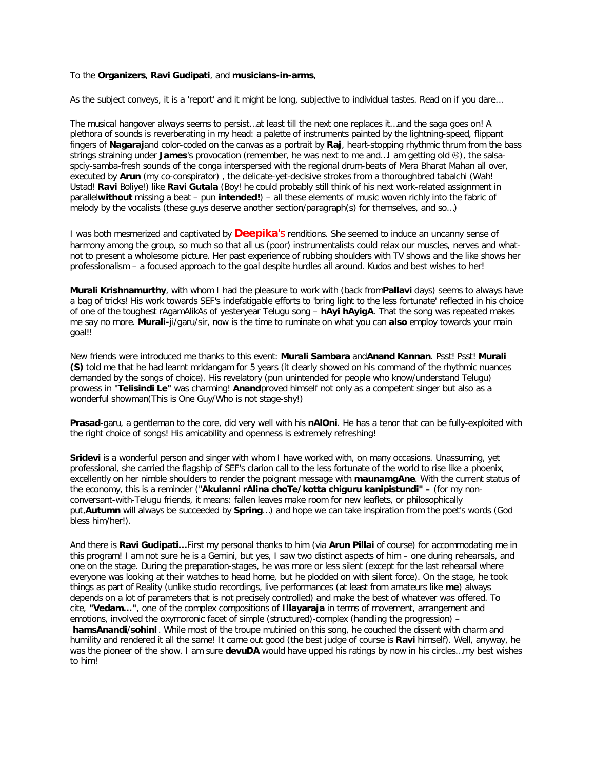## To the **Organizers**, **Ravi Gudipati**, and **musicians-in-arms**,

As the subject conveys, it is a 'report' and it *might* be long, subjective to individual tastes. Read on if you dare…

The musical hangover always seems to persist…at least till the next one replaces it…and the saga goes on! A plethora of sounds is reverberating in my head: a palette of instruments painted by the lightning-speed, flippant fingers of **Nagaraj**and color-coded on the canvas as a portrait by **Raj**, heart-stopping rhythmic thrum from the bass strings straining under **James**'s provocation (remember, he was next to me and...) am getting old  $\circledcirc$ ), the salsaspciy-samba-fresh sounds of the conga interspersed with the regional drum-beats of *Mera Bharat Mahan* all over, executed by **Arun** (my *co-conspirator*) , the delicate-yet-decisive strokes from a thoroughbred *tabalchi* (Wah! Ustad! **Ravi** Boliye!) like **Ravi Gutala** (Boy! he could probably still think of his next work-related assignment in parallel**without** missing a beat – pun **intended!**) – all these elements of music woven richly into the fabric of melody by the vocalists (these guys deserve another section/paragraph(s) for themselves, and so…)

I was both mesmerized and captivated by **Deepika**'s renditions. She seemed to induce an uncanny sense of harmony among the group, so much so that all us (poor) instrumentalists could relax our muscles, nerves and whatnot to present a wholesome picture. Her past experience of rubbing shoulders with TV shows and the like shows her professionalism – a focused approach to the goal despite hurdles all around. Kudos and best wishes to her!

**Murali Krishnamurthy**, with whom I had the pleasure to work with (back from**Pallavi** days) seems to always have a bag of tricks! His work towards SEF's indefatigable efforts to 'bring light to the less fortunate' reflected in his choice of one of the toughest *rAgamAlikA*s of yesteryear Telugu song – **hAyi hAyigA**. That the song was repeated makes me say no more. **Murali-**ji/garu/sir, now is the time to ruminate on what you can **also** employ towards your main goal!!

New friends were introduced me thanks to this event: **Murali Sambara** and**Anand Kannan**. Psst! Psst! **Murali (S)** told me that he had learnt *mridangam* for 5 years (it clearly showed on his command of the rhythmic nuances demanded by the songs of choice). His *revelatory* (pun unintended for people who know/understand Telugu) prowess in "**Telisindi Le"** was charming! **Anand**proved himself not only as a competent singer but also as a wonderful showman(*This is One Guy/Who is not stage-shy!*)

**Prasad**-garu, a gentleman to the core, did very well with his **nAlOni**. He has a tenor that can be fully-exploited with the right choice of songs! His amicability and openness is extremely refreshing!

**Sridevi** is a wonderful person and singer with whom I have worked with, on many occasions. Unassuming, yet professional, she carried the flagship of SEF's clarion call to the less fortunate of the world to rise like a phoenix, excellently on her nimble shoulders to render the poignant message with **maunamgAne**. With the current status of the economy, this is a reminder ("**Akulanni rAlina choTe/kotta chiguru kanipistundi" –** (for my nonconversant-with-Telugu friends, it means: *fallen leaves make room for new leaflets,* or philosophically put,**Autumn** will always be succeeded by **Spring**…) and hope we can take inspiration from the poet's words (God bless him/her!).

And there is **Ravi Gudipati…**First my personal thanks to him (via **Arun Pillai** of course) for accommodating me in this program! I am not sure he is a Gemini, but yes, I saw two distinct aspects of him – one during rehearsals, and one on the stage. During the preparation-stages, he was more or less silent (except for the last rehearsal where everyone was looking at their watches to head home, but he plodded on with silent force). On the stage, he took things as part of Reality (unlike studio recordings, live performances (at least from amateurs like **me**) always depends on a lot of parameters that is not precisely controlled) and make the best of whatever was offered. To cite, **"Vedam…"**, one of the complex compositions of **Illayaraja** in terms of movement, arrangement and emotions, involved the oxymoronic facet of simple (structured)-complex (handling the progression) –

**hamsAnandi**/**sohinI**. While most of the troupe mutinied on this song, he couched the dissent with charm and humility and rendered it all the same! It came out good (the best judge of course is **Ravi** himself). Well, anyway, he was the pioneer of the show. I am sure **devuDA** would have upped his ratings by now in his circles…my best wishes to him!